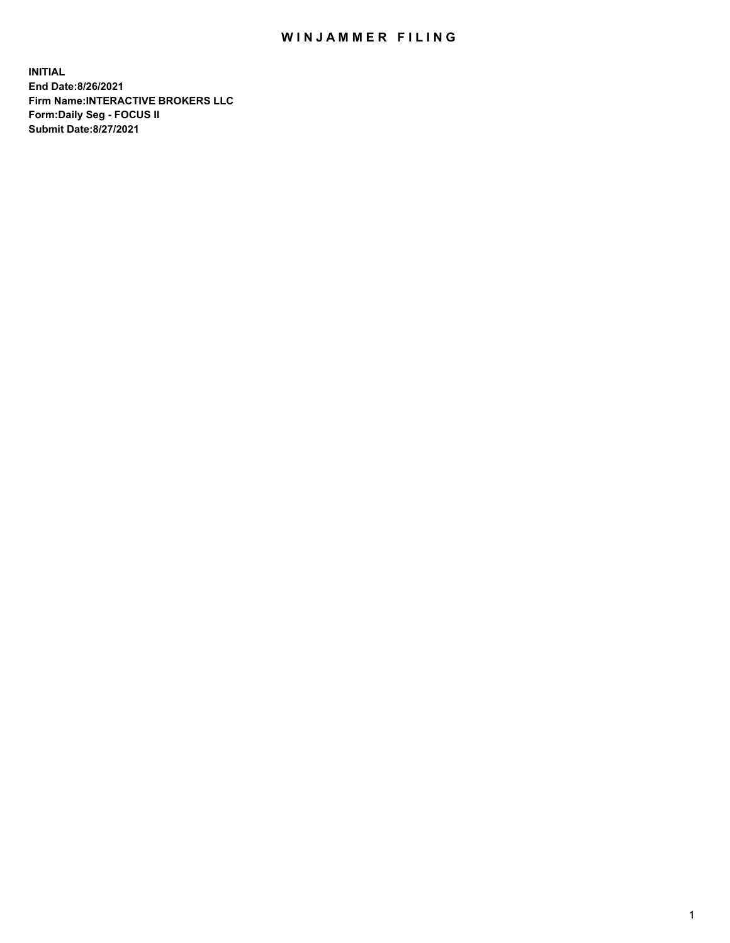## WIN JAMMER FILING

**INITIAL End Date:8/26/2021 Firm Name:INTERACTIVE BROKERS LLC Form:Daily Seg - FOCUS II Submit Date:8/27/2021**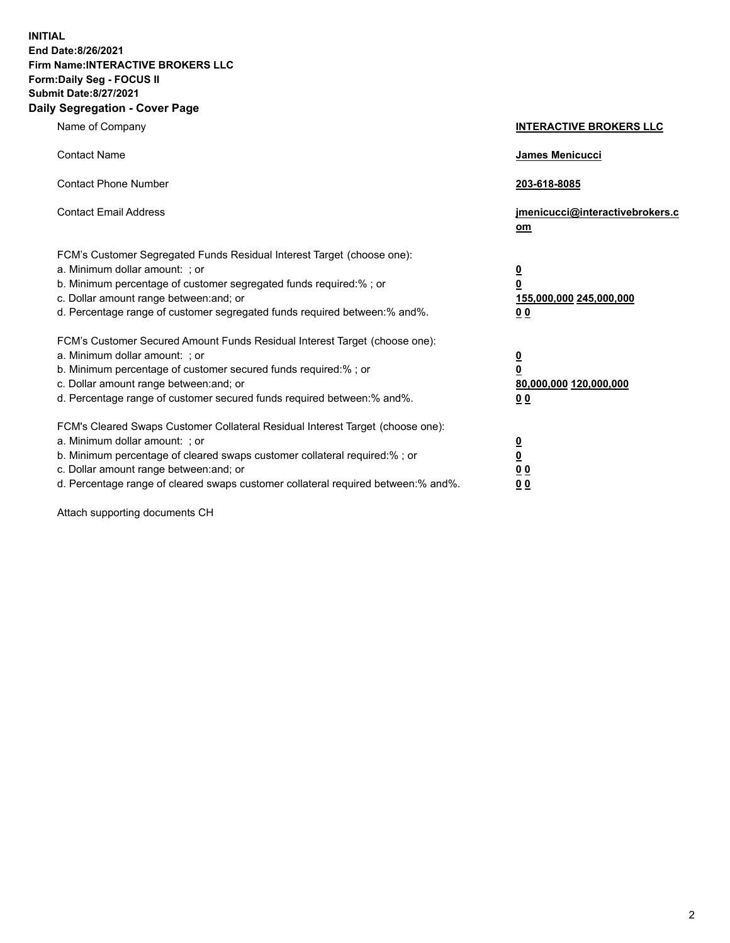**INITIAL End Date:8/26/2021 Firm Name:INTERACTIVE BROKERS LLC Form:Daily Seg - FOCUS II Submit Date:8/27/2021 Daily Segregation - Cover Page**

| Name of Company                                                                                                                                                                                                                                                                                                                | <b>INTERACTIVE BROKERS LLC</b>                                           |
|--------------------------------------------------------------------------------------------------------------------------------------------------------------------------------------------------------------------------------------------------------------------------------------------------------------------------------|--------------------------------------------------------------------------|
| <b>Contact Name</b>                                                                                                                                                                                                                                                                                                            | James Menicucci                                                          |
| <b>Contact Phone Number</b>                                                                                                                                                                                                                                                                                                    | 203-618-8085                                                             |
| <b>Contact Email Address</b>                                                                                                                                                                                                                                                                                                   | jmenicucci@interactivebrokers.c<br>om                                    |
| FCM's Customer Segregated Funds Residual Interest Target (choose one):<br>a. Minimum dollar amount: ; or<br>b. Minimum percentage of customer segregated funds required:% ; or<br>c. Dollar amount range between: and; or<br>d. Percentage range of customer segregated funds required between: % and %.                       | <u>0</u><br>0<br>155,000,000 245,000,000<br>0 <sub>0</sub>               |
| FCM's Customer Secured Amount Funds Residual Interest Target (choose one):<br>a. Minimum dollar amount: ; or<br>b. Minimum percentage of customer secured funds required:% ; or<br>c. Dollar amount range between: and; or<br>d. Percentage range of customer secured funds required between:% and%.                           | <u>0</u><br>$\overline{\mathbf{0}}$<br>80,000,000 120,000,000<br>00      |
| FCM's Cleared Swaps Customer Collateral Residual Interest Target (choose one):<br>a. Minimum dollar amount: ; or<br>b. Minimum percentage of cleared swaps customer collateral required:% ; or<br>c. Dollar amount range between: and; or<br>d. Percentage range of cleared swaps customer collateral required between:% and%. | <u>0</u><br>$\underline{\mathbf{0}}$<br>0 <sub>0</sub><br>0 <sub>0</sub> |

Attach supporting documents CH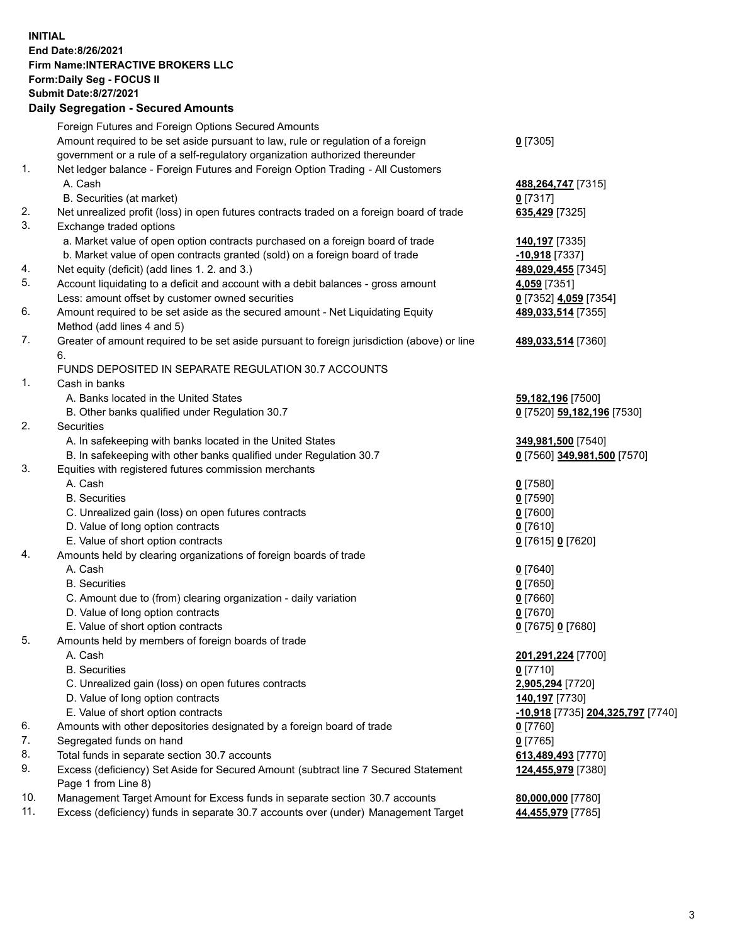**INITIAL End Date:8/26/2021 Firm Name:INTERACTIVE BROKERS LLC Form:Daily Seg - FOCUS II Submit Date:8/27/2021 Daily Segregation - Secured Amounts**

## Foreign Futures and Foreign Options Secured Amounts Amount required to be set aside pursuant to law, rule or regulation of a foreign government or a rule of a self-regulatory organization authorized thereunder **0** [7305] 1. Net ledger balance - Foreign Futures and Foreign Option Trading - All Customers A. Cash **488,264,747** [7315] B. Securities (at market) **0** [7317] 2. Net unrealized profit (loss) in open futures contracts traded on a foreign board of trade **635,429** [7325] 3. Exchange traded options a. Market value of open option contracts purchased on a foreign board of trade **140,197** [7335] b. Market value of open contracts granted (sold) on a foreign board of trade **-10,918** [7337] 4. Net equity (deficit) (add lines 1. 2. and 3.) **489,029,455** [7345] 5. Account liquidating to a deficit and account with a debit balances - gross amount **4,059** [7351] Less: amount offset by customer owned securities **0** [7352] **4,059** [7354] 6. Amount required to be set aside as the secured amount - Net Liquidating Equity Method (add lines 4 and 5) **489,033,514** [7355] 7. Greater of amount required to be set aside pursuant to foreign jurisdiction (above) or line 6. **489,033,514** [7360] FUNDS DEPOSITED IN SEPARATE REGULATION 30.7 ACCOUNTS 1. Cash in banks A. Banks located in the United States **59,182,196** [7500] B. Other banks qualified under Regulation 30.7 **0** [7520] **59,182,196** [7530] 2. Securities A. In safekeeping with banks located in the United States **349,981,500** [7540] B. In safekeeping with other banks qualified under Regulation 30.7 **0** [7560] **349,981,500** [7570] 3. Equities with registered futures commission merchants A. Cash **0** [7580] B. Securities **0** [7590] C. Unrealized gain (loss) on open futures contracts **0** [7600] D. Value of long option contracts **0** [7610] E. Value of short option contracts **0** [7615] **0** [7620] 4. Amounts held by clearing organizations of foreign boards of trade A. Cash **0** [7640] B. Securities **0** [7650] C. Amount due to (from) clearing organization - daily variation **0** [7660] D. Value of long option contracts **0** [7670] E. Value of short option contracts **0** [7675] **0** [7680] 5. Amounts held by members of foreign boards of trade A. Cash **201,291,224** [7700] B. Securities **0** [7710] C. Unrealized gain (loss) on open futures contracts **2,905,294** [7720] D. Value of long option contracts **140,197** [7730] E. Value of short option contracts **-10,918** [7735] **204,325,797** [7740] 6. Amounts with other depositories designated by a foreign board of trade **0** [7760] 7. Segregated funds on hand **0** [7765] 8. Total funds in separate section 30.7 accounts **613,489,493** [7770] 9. Excess (deficiency) Set Aside for Secured Amount (subtract line 7 Secured Statement Page 1 from Line 8) **124,455,979** [7380] 10. Management Target Amount for Excess funds in separate section 30.7 accounts **80,000,000** [7780] 11. Excess (deficiency) funds in separate 30.7 accounts over (under) Management Target **44,455,979** [7785]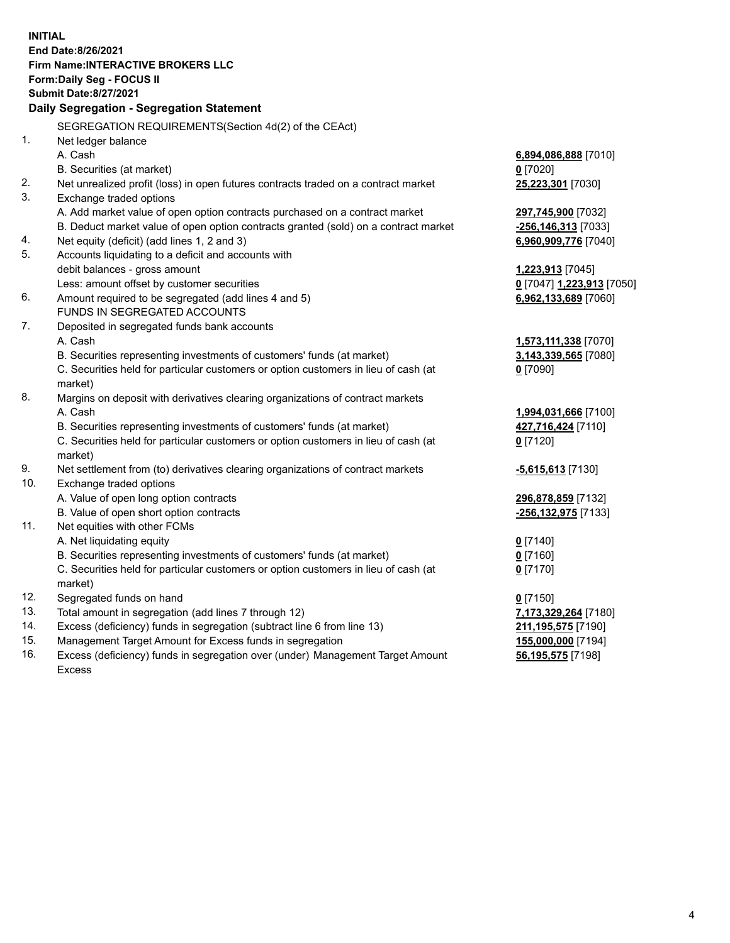**INITIAL End Date:8/26/2021 Firm Name:INTERACTIVE BROKERS LLC Form:Daily Seg - FOCUS II Submit Date:8/27/2021 Daily Segregation - Segregation Statement** SEGREGATION REQUIREMENTS(Section 4d(2) of the CEAct) 1. Net ledger balance A. Cash **6,894,086,888** [7010] B. Securities (at market) **0** [7020] 2. Net unrealized profit (loss) in open futures contracts traded on a contract market **25,223,301** [7030] 3. Exchange traded options A. Add market value of open option contracts purchased on a contract market **297,745,900** [7032] B. Deduct market value of open option contracts granted (sold) on a contract market **-256,146,313** [7033] 4. Net equity (deficit) (add lines 1, 2 and 3) **6,960,909,776** [7040] 5. Accounts liquidating to a deficit and accounts with debit balances - gross amount **1,223,913** [7045] Less: amount offset by customer securities **0** [7047] **1,223,913** [7050] 6. Amount required to be segregated (add lines 4 and 5) **6,962,133,689** [7060] FUNDS IN SEGREGATED ACCOUNTS 7. Deposited in segregated funds bank accounts A. Cash **1,573,111,338** [7070] B. Securities representing investments of customers' funds (at market) **3,143,339,565** [7080] C. Securities held for particular customers or option customers in lieu of cash (at market) **0** [7090] 8. Margins on deposit with derivatives clearing organizations of contract markets A. Cash **1,994,031,666** [7100] B. Securities representing investments of customers' funds (at market) **427,716,424** [7110] C. Securities held for particular customers or option customers in lieu of cash (at market) **0** [7120] 9. Net settlement from (to) derivatives clearing organizations of contract markets **-5,615,613** [7130] 10. Exchange traded options A. Value of open long option contracts **296,878,859** [7132] B. Value of open short option contracts **-256,132,975** [7133] 11. Net equities with other FCMs A. Net liquidating equity **0** [7140] B. Securities representing investments of customers' funds (at market) **0** [7160] C. Securities held for particular customers or option customers in lieu of cash (at market) **0** [7170] 12. Segregated funds on hand **0** [7150] 13. Total amount in segregation (add lines 7 through 12) **7,173,329,264** [7180] 14. Excess (deficiency) funds in segregation (subtract line 6 from line 13) **211,195,575** [7190] 15. Management Target Amount for Excess funds in segregation **155,000,000** [7194]

16. Excess (deficiency) funds in segregation over (under) Management Target Amount Excess

**56,195,575** [7198]